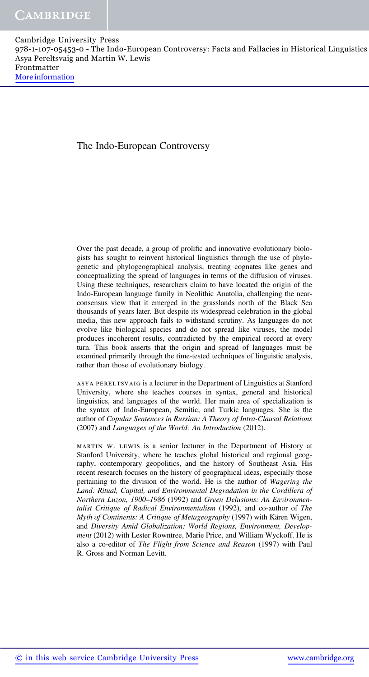#### The Indo-European Controversy

Over the past decade, a group of prolific and innovative evolutionary biologists has sought to reinvent historical linguistics through the use of phylogenetic and phylogeographical analysis, treating cognates like genes and conceptualizing the spread of languages in terms of the diffusion of viruses. Using these techniques, researchers claim to have located the origin of the Indo-European language family in Neolithic Anatolia, challenging the nearconsensus view that it emerged in the grasslands north of the Black Sea thousands of years later. But despite its widespread celebration in the global media, this new approach fails to withstand scrutiny. As languages do not evolve like biological species and do not spread like viruses, the model produces incoherent results, contradicted by the empirical record at every turn. This book asserts that the origin and spread of languages must be examined primarily through the time-tested techniques of linguistic analysis, rather than those of evolutionary biology.

asya pereltsvaig is a lecturer in the Department of Linguistics at Stanford University, where she teaches courses in syntax, general and historical linguistics, and languages of the world. Her main area of specialization is the syntax of Indo-European, Semitic, and Turkic languages. She is the author of Copular Sentences in Russian: A Theory of Intra-Clausal Relations (2007) and Languages of the World: An Introduction (2012).

martin w. lewis is a senior lecturer in the Department of History at Stanford University, where he teaches global historical and regional geography, contemporary geopolitics, and the history of Southeast Asia. His recent research focuses on the history of geographical ideas, especially those pertaining to the division of the world. He is the author of Wagering the Land: Ritual, Capital, and Environmental Degradation in the Cordillera of Northern Luzon, 1900–1986 (1992) and Green Delusions: An Environmentalist Critique of Radical Environmentalism (1992), and co-author of The Myth of Continents: A Critique of Metageography (1997) with Kären Wigen, and Diversity Amid Globalization: World Regions, Environment, Development (2012) with Lester Rowntree, Marie Price, and William Wyckoff. He is also a co-editor of The Flight from Science and Reason (1997) with Paul R. Gross and Norman Levitt.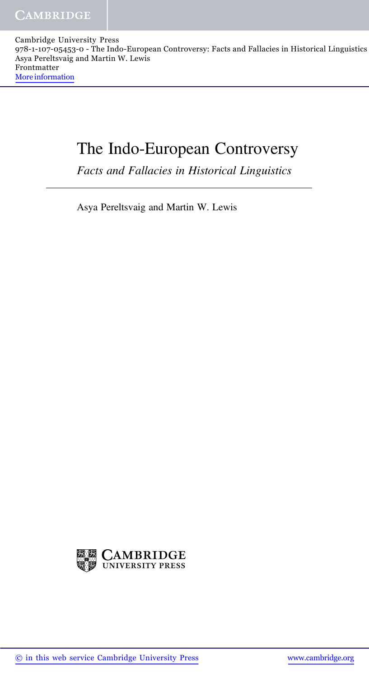# The Indo-European Controversy

Facts and Fallacies in Historical Linguistics

Asya Pereltsvaig and Martin W. Lewis

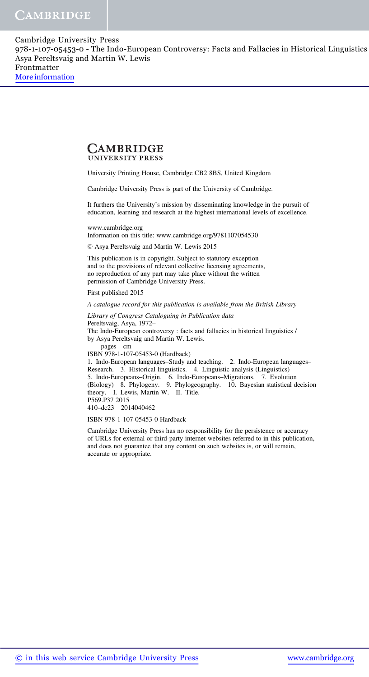#### **CAMBRIDGE UNIVERSITY PRESS**

University Printing House, Cambridge CB2 8BS, United Kingdom

Cambridge University Press is part of the University of Cambridge.

It furthers the University's mission by disseminating knowledge in the pursuit of education, learning and research at the highest international levels of excellence.

www.cambridge.org Information on this title: www.cambridge.org/9781107054530

© Asya Pereltsvaig and Martin W. Lewis 2015

This publication is in copyright. Subject to statutory exception and to the provisions of relevant collective licensing agreements, no reproduction of any part may take place without the written permission of Cambridge University Press.

First published 2015

A catalogue record for this publication is available from the British Library

Library of Congress Cataloguing in Publication data Pereltsvaig, Asya, 1972– The Indo-European controversy : facts and fallacies in historical linguistics / by Asya Pereltsvaig and Martin W. Lewis. pages cm ISBN 978-1-107-05453-0 (Hardback) 1. Indo-European languages–Study and teaching. 2. Indo-European languages– Research. 3. Historical linguistics. 4. Linguistic analysis (Linguistics) 5. Indo-Europeans–Origin. 6. Indo-Europeans–Migrations. 7. Evolution

(Biology) 8. Phylogeny. 9. Phylogeography. 10. Bayesian statistical decision theory. I. Lewis, Martin W. II. Title.

P569.P37 2015 410–dc23 2014040462

ISBN 978-1-107-05453-0 Hardback

Cambridge University Press has no responsibility for the persistence or accuracy of URLs for external or third-party internet websites referred to in this publication, and does not guarantee that any content on such websites is, or will remain, accurate or appropriate.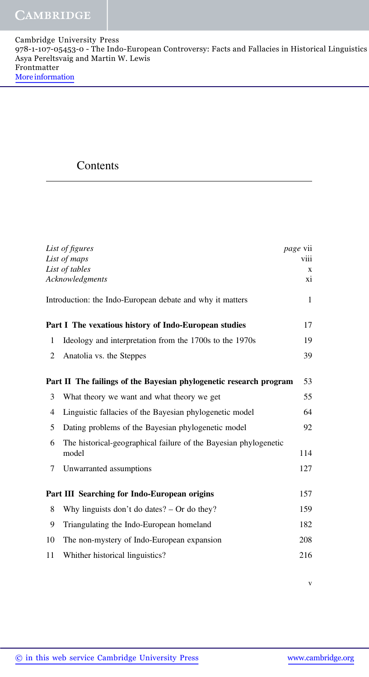## **Contents**

|                                                                          | List of figures                                                  | <i>page</i> vii |
|--------------------------------------------------------------------------|------------------------------------------------------------------|-----------------|
|                                                                          | List of maps                                                     | <b>V111</b>     |
|                                                                          | List of tables                                                   | X               |
|                                                                          | Acknowledgments                                                  | xi              |
|                                                                          | Introduction: the Indo-European debate and why it matters        | 1               |
|                                                                          | Part I The vexatious history of Indo-European studies            | 17              |
| 1                                                                        | Ideology and interpretation from the 1700s to the 1970s          | 19              |
| 2                                                                        | Anatolia vs. the Steppes                                         | 39              |
|                                                                          |                                                                  |                 |
| Part II The failings of the Bayesian phylogenetic research program<br>53 |                                                                  |                 |
| 3                                                                        | What theory we want and what theory we get                       | 55              |
| $\overline{4}$                                                           | Linguistic fallacies of the Bayesian phylogenetic model          | 64              |
| 5                                                                        | Dating problems of the Bayesian phylogenetic model               | 92              |
| 6                                                                        | The historical-geographical failure of the Bayesian phylogenetic |                 |
|                                                                          | model                                                            | 114             |
| 7                                                                        | Unwarranted assumptions                                          | 127             |
|                                                                          |                                                                  |                 |
|                                                                          | Part III Searching for Indo-European origins                     | 157             |
| 8                                                                        | Why linguists don't do dates? $-$ Or do they?                    | 159             |
| 9                                                                        | Triangulating the Indo-European homeland                         | 182             |
| 10                                                                       | The non-mystery of Indo-European expansion                       | 208             |
| 11                                                                       | Whither historical linguistics?                                  | 216             |

v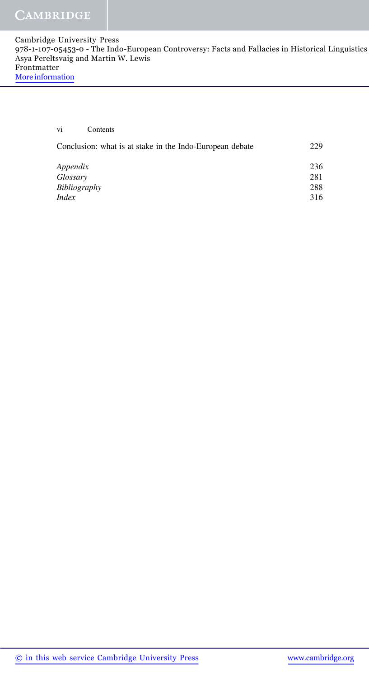| Cambridge University Press                                                                       |
|--------------------------------------------------------------------------------------------------|
| 978-1-107-05453-0 - The Indo-European Controversy: Facts and Fallacies in Historical Linguistics |
| Asya Pereltsvaig and Martin W. Lewis                                                             |
| Frontmatter                                                                                      |
| More information                                                                                 |
|                                                                                                  |

#### Conclusion: what is at stake in the Indo-European debate 229 Appendix 236<br>
Glossary 281 Glossary Bibliography 288<br>
Index 316 Index 316 vi Contents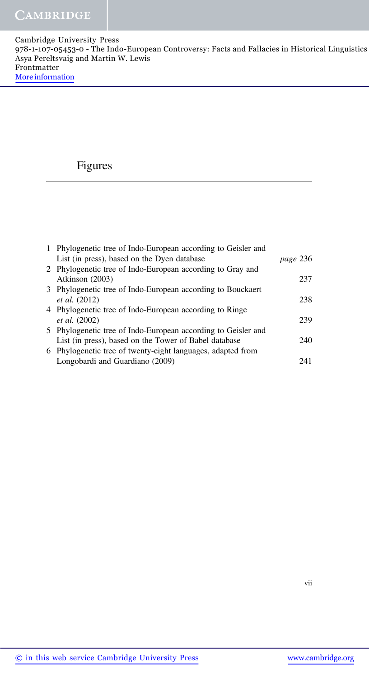## Figures

| 1 Phylogenetic tree of Indo-European according to Geisler and |          |
|---------------------------------------------------------------|----------|
| List (in press), based on the Dyen database                   | page 236 |
| 2 Phylogenetic tree of Indo-European according to Gray and    |          |
| Atkinson (2003)                                               | 237      |
| 3 Phylogenetic tree of Indo-European according to Bouckaert   |          |
| <i>et al.</i> (2012)                                          | 238      |
| 4 Phylogenetic tree of Indo-European according to Ringe       |          |
| <i>et al.</i> (2002)                                          | 239      |
| 5 Phylogenetic tree of Indo-European according to Geisler and |          |
| List (in press), based on the Tower of Babel database         | 240      |
| 6 Phylogenetic tree of twenty-eight languages, adapted from   |          |
| Longobardi and Guardiano (2009)                               | 241      |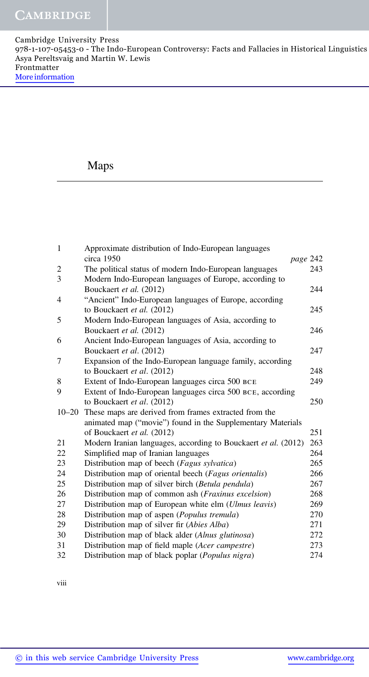## Maps

| 1         | Approximate distribution of Indo-European languages            |          |
|-----------|----------------------------------------------------------------|----------|
|           | circa 1950                                                     | page 242 |
| 2         | The political status of modern Indo-European languages         | 243      |
| 3         | Modern Indo-European languages of Europe, according to         |          |
|           | Bouckaert et al. (2012)                                        | 244      |
| 4         | "Ancient" Indo-European languages of Europe, according         |          |
|           | to Bouckaert et al. (2012)                                     | 245      |
| 5         | Modern Indo-European languages of Asia, according to           |          |
|           | Bouckaert et al. (2012)                                        | 246      |
| 6         | Ancient Indo-European languages of Asia, according to          |          |
|           | Bouckaert et al. (2012)                                        | 247      |
| 7         | Expansion of the Indo-European language family, according      |          |
|           | to Bouckaert et al. (2012)                                     | 248      |
| 8         | Extent of Indo-European languages circa 500 BCE                | 249      |
| 9         | Extent of Indo-European languages circa 500 BCE, according     |          |
|           | to Bouckaert et al. (2012)                                     | 250      |
| $10 - 20$ | These maps are derived from frames extracted from the          |          |
|           | animated map ("movie") found in the Supplementary Materials    |          |
|           | of Bouckaert et al. (2012)                                     | 251      |
| 21        | Modern Iranian languages, according to Bouckaert et al. (2012) | 263      |
| 22        | Simplified map of Iranian languages                            | 264      |
| 23        | Distribution map of beech (Fagus sylvatica)                    | 265      |
| 24        | Distribution map of oriental beech (Fagus orientalis)          | 266      |
| 25        | Distribution map of silver birch (Betula pendula)              | 267      |
| 26        | Distribution map of common ash (Fraxinus excelsion)            | 268      |
| 27        | Distribution map of European white elm (Ulmus leavis)          | 269      |
| 28        | Distribution map of aspen (Populus tremula)                    | 270      |
| 29        | Distribution map of silver fir (Abies Alba)                    | 271      |
| 30        | Distribution map of black alder (Alnus glutinosa)              | 272      |
| 31        | Distribution map of field maple (Acer campestre)               | 273      |
| 32        | Distribution map of black poplar (Populus nigra)               | 274      |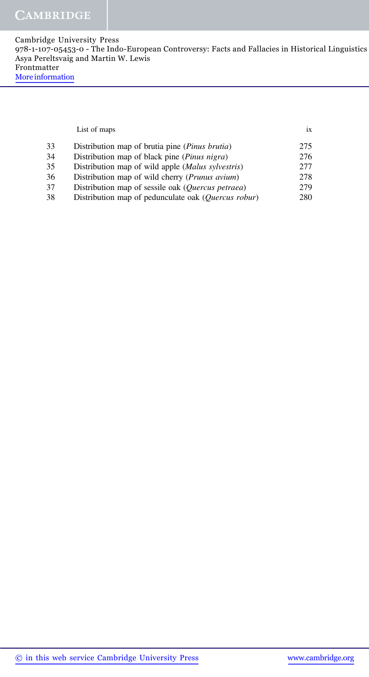| Cambridge University Press                                                                       |
|--------------------------------------------------------------------------------------------------|
| 978-1-107-05453-0 - The Indo-European Controversy: Facts and Fallacies in Historical Linguistics |
| Asya Pereltsvaig and Martin W. Lewis                                                             |
| Frontmatter                                                                                      |
| More information                                                                                 |
|                                                                                                  |

|    | List of maps                                          | ix  |
|----|-------------------------------------------------------|-----|
| 33 | Distribution map of brutia pine (Pinus brutia)        | 275 |
| 34 | Distribution map of black pine ( <i>Pinus nigra</i> ) | 276 |
| 35 | Distribution map of wild apple (Malus sylvestris)     | 277 |
| 36 | Distribution map of wild cherry (Prunus avium)        | 278 |
| 37 | Distribution map of sessile oak (Quercus petraea)     | 279 |
| 38 | Distribution map of pedunculate oak (Quercus robur)   | 280 |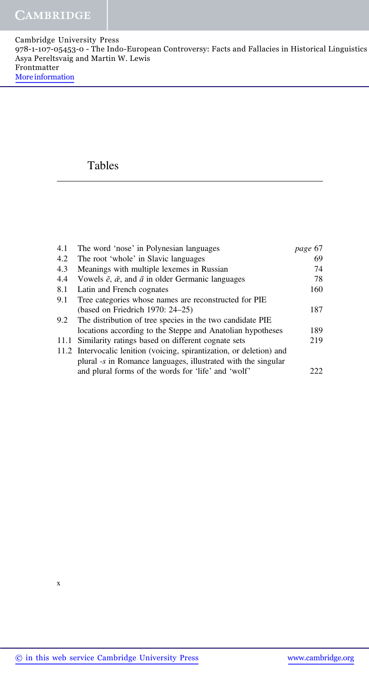#### Tables

| The word 'nose' in Polynesian languages                                  | page 67 |
|--------------------------------------------------------------------------|---------|
| The root 'whole' in Slavic languages                                     | 69      |
| Meanings with multiple lexemes in Russian                                | 74      |
| Vowels $\bar{e}$ , $\bar{e}$ , and $\bar{a}$ in older Germanic languages | 78      |
| Latin and French cognates                                                | 160     |
| Tree categories whose names are reconstructed for PIE                    |         |
| (based on Friedrich 1970: $24-25$ )                                      | 187     |
| The distribution of tree species in the two candidate PIE                |         |
| locations according to the Steppe and Anatolian hypotheses               | 189     |
| 11.1 Similarity ratings based on different cognate sets                  | 219     |
| 11.2 Intervocalic lenition (voicing, spirantization, or deletion) and    |         |
| plural -s in Romance languages, illustrated with the singular            |         |
| and plural forms of the words for 'life' and 'wolf'                      | 222.    |
|                                                                          |         |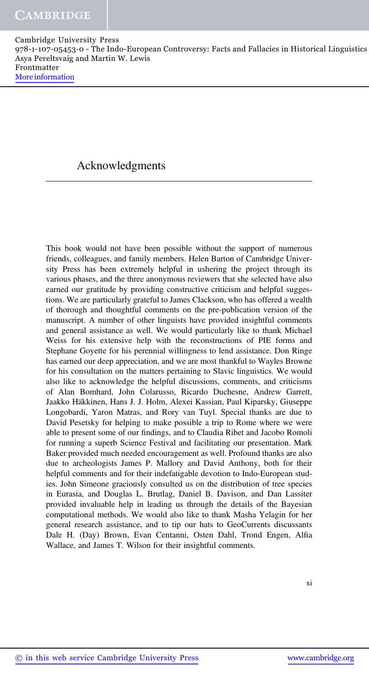# Acknowledgments

This book would not have been possible without the support of numerous friends, colleagues, and family members. Helen Barton of Cambridge University Press has been extremely helpful in ushering the project through its various phases, and the three anonymous reviewers that she selected have also earned our gratitude by providing constructive criticism and helpful suggestions. We are particularly grateful to James Clackson, who has offered a wealth of thorough and thoughtful comments on the pre-publication version of the manuscript. A number of other linguists have provided insightful comments and general assistance as well. We would particularly like to thank Michael Weiss for his extensive help with the reconstructions of PIE forms and Stephane Goyette for his perennial willingness to lend assistance. Don Ringe has earned our deep appreciation, and we are most thankful to Wayles Browne for his consultation on the matters pertaining to Slavic linguistics. We would also like to acknowledge the helpful discussions, comments, and criticisms of Alan Bomhard, John Colarusso, Ricardo Duchesne, Andrew Garrett, Jaakko Häkkinen, Hans J. J. Holm, Alexei Kassian, Paul Kiparsky, Giuseppe Longobardi, Yaron Matras, and Rory van Tuyl. Special thanks are due to David Pesetsky for helping to make possible a trip to Rome where we were able to present some of our findings, and to Claudia Ribet and Jacobo Romoli for running a superb Science Festival and facilitating our presentation. Mark Baker provided much needed encouragement as well. Profound thanks are also due to archeologists James P. Mallory and David Anthony, both for their helpful comments and for their indefatigable devotion to Indo-European studies. John Simeone graciously consulted us on the distribution of tree species in Eurasia, and Douglas L. Brutlag, Daniel B. Davison, and Dan Lassiter provided invaluable help in leading us through the details of the Bayesian computational methods. We would also like to thank Masha Yelagin for her general research assistance, and to tip our hats to GeoCurrents discussants Dale H. (Day) Brown, Evan Centanni, Osten Dahl, Trond Engen, Alfia Wallace, and James T. Wilson for their insightful comments.